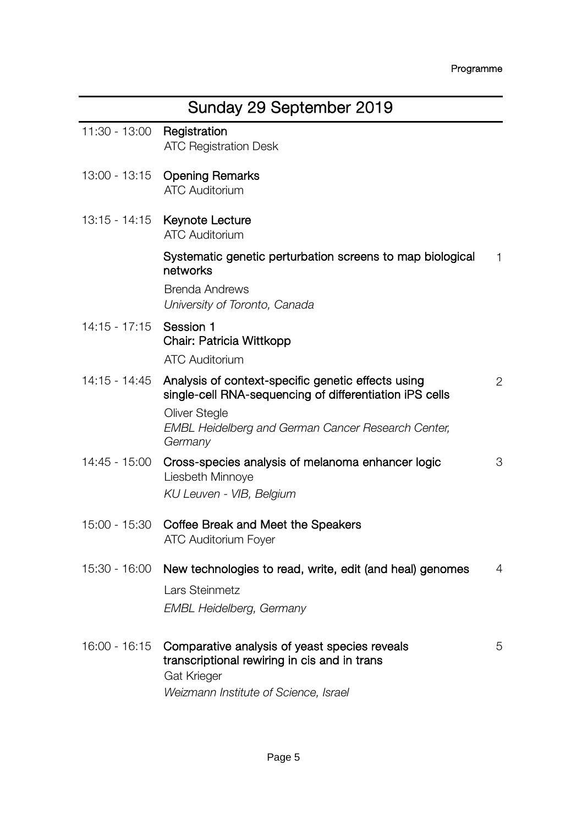| Sunday 29 September 2019 |                                                                                                                                |                |
|--------------------------|--------------------------------------------------------------------------------------------------------------------------------|----------------|
| 11:30 - 13:00            | Registration<br><b>ATC Registration Desk</b>                                                                                   |                |
| 13:00 - 13:15            | <b>Opening Remarks</b><br><b>ATC Auditorium</b>                                                                                |                |
| 13:15 - 14:15            | Keynote Lecture<br><b>ATC Auditorium</b>                                                                                       |                |
|                          | Systematic genetic perturbation screens to map biological<br>networks                                                          | 1              |
|                          | <b>Brenda Andrews</b><br>University of Toronto, Canada                                                                         |                |
| $14:15 - 17:15$          | Session 1<br>Chair: Patricia Wittkopp                                                                                          |                |
|                          | <b>ATC Auditorium</b>                                                                                                          |                |
| 14:15 - 14:45            | Analysis of context-specific genetic effects using<br>single-cell RNA-sequencing of differentiation iPS cells<br>Oliver Stegle | $\overline{2}$ |
|                          | EMBL Heidelberg and German Cancer Research Center,<br>Germany                                                                  |                |
| 14:45 - 15:00            | Cross-species analysis of melanoma enhancer logic<br>Liesbeth Minnove                                                          | 3              |
|                          | KU Leuven - VIB, Belgium                                                                                                       |                |
| 15:00 - 15:30            | Coffee Break and Meet the Speakers<br>ATC Auditorium Foyer                                                                     |                |
|                          |                                                                                                                                |                |
| 15:30 - 16:00            | New technologies to read, write, edit (and heal) genomes                                                                       | 4              |
|                          | Lars Steinmetz                                                                                                                 |                |
|                          | <b>EMBL Heidelberg, Germany</b>                                                                                                |                |
| 16:00 - 16:15            | Comparative analysis of yeast species reveals<br>transcriptional rewiring in cis and in trans<br>Gat Krieger                   | 5              |
|                          | Weizmann Institute of Science, Israel                                                                                          |                |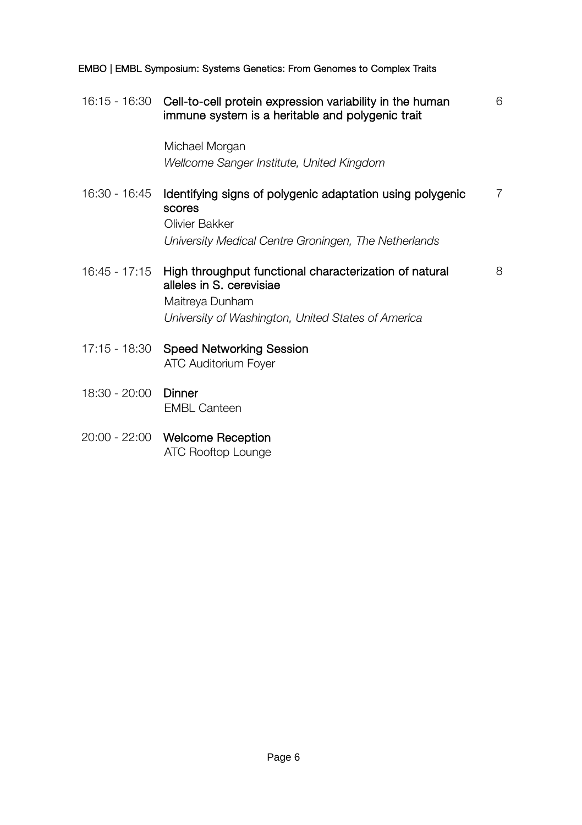|               | 16:15 - 16:30 Cell-to-cell protein expression variability in the human<br>immune system is a heritable and polygenic trait | 6 |
|---------------|----------------------------------------------------------------------------------------------------------------------------|---|
|               | Michael Morgan                                                                                                             |   |
|               | Wellcome Sanger Institute, United Kingdom                                                                                  |   |
| 16:30 - 16:45 | Identifying signs of polygenic adaptation using polygenic<br>scores<br>Olivier Bakker                                      | 7 |
|               | University Medical Centre Groningen, The Netherlands                                                                       |   |
| 16:45 - 17:15 | High throughput functional characterization of natural<br>alleles in S. cerevisiae<br>Maitreya Dunham                      | 8 |
|               | University of Washington, United States of America                                                                         |   |
|               | 17:15 - 18:30 Speed Networking Session<br>ATC Auditorium Foyer                                                             |   |
| 18:30 - 20:00 | Dinner<br><b>EMBL Canteen</b>                                                                                              |   |

20:00 - 22:00 Welcome Reception ATC Rooftop Lounge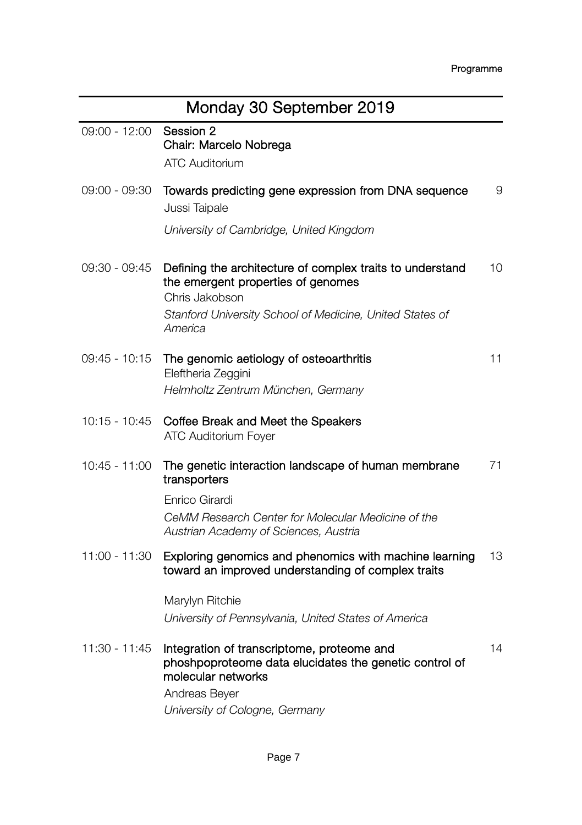| Monday 30 September 2019 |                                                                                                                                                                               |    |
|--------------------------|-------------------------------------------------------------------------------------------------------------------------------------------------------------------------------|----|
| 09:00 - 12:00            | Session 2<br>Chair: Marcelo Nobrega<br><b>ATC Auditorium</b>                                                                                                                  |    |
| 09:00 - 09:30            | Towards predicting gene expression from DNA sequence<br>Jussi Taipale<br>University of Cambridge, United Kingdom                                                              | 9  |
|                          |                                                                                                                                                                               |    |
| 09:30 - 09:45            | Defining the architecture of complex traits to understand<br>the emergent properties of genomes<br>Chris Jakobson                                                             | 10 |
|                          | Stanford University School of Medicine, United States of<br>America                                                                                                           |    |
| 09:45 - 10:15            | The genomic aetiology of osteoarthritis<br>Eleftheria Zeggini                                                                                                                 | 11 |
|                          | Helmholtz Zentrum München, Germany                                                                                                                                            |    |
| 10:15 - 10:45            | Coffee Break and Meet the Speakers<br>ATC Auditorium Foyer                                                                                                                    |    |
| $10:45 - 11:00$          | The genetic interaction landscape of human membrane<br>transporters                                                                                                           | 71 |
|                          | Enrico Girardi                                                                                                                                                                |    |
|                          | CeMM Research Center for Molecular Medicine of the<br>Austrian Academy of Sciences, Austria                                                                                   |    |
| 11:00 - 11:30            | Exploring genomics and phenomics with machine learning<br>toward an improved understanding of complex traits                                                                  | 13 |
|                          | Marylyn Ritchie<br>University of Pennsylvania, United States of America                                                                                                       |    |
| 11:30 - 11:45            | Integration of transcriptome, proteome and<br>phoshpoproteome data elucidates the genetic control of<br>molecular networks<br>Andreas Beyer<br>University of Cologne, Germany | 14 |
|                          |                                                                                                                                                                               |    |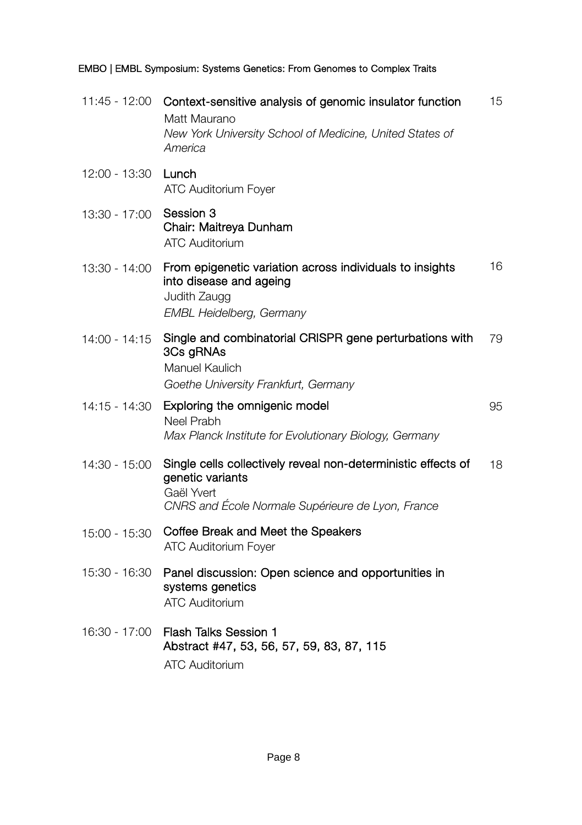|                            | 11:45 - 12:00 Context-sensitive analysis of genomic insulator function<br>Matt Maurano<br>New York University School of Medicine, United States of<br>America | 15 |
|----------------------------|---------------------------------------------------------------------------------------------------------------------------------------------------------------|----|
| 12:00 - 13:30 <b>Lunch</b> | ATC Auditorium Foyer                                                                                                                                          |    |
| 13:30 - 17:00              | Session 3<br>Chair: Maitreya Dunham<br><b>ATC Auditorium</b>                                                                                                  |    |
| 13:30 - 14:00              | From epigenetic variation across individuals to insights<br>into disease and ageing<br>Judith Zaugg<br><b>EMBL Heidelberg, Germany</b>                        | 16 |
| $14:00 - 14:15$            | Single and combinatorial CRISPR gene perturbations with<br>3Cs gRNAs<br>Manuel Kaulich<br>Goethe University Frankfurt, Germany                                | 79 |
| 14:15 - 14:30              | Exploring the omnigenic model<br>Neel Prabh<br>Max Planck Institute for Evolutionary Biology, Germany                                                         | 95 |
| $14:30 - 15:00$            | Single cells collectively reveal non-deterministic effects of<br>genetic variants<br>Gaël Yvert<br>CNRS and École Normale Supérieure de Lyon, France          | 18 |
| $15:00 - 15:30$            | Coffee Break and Meet the Speakers<br>ATC Auditorium Foyer                                                                                                    |    |
| 15:30 - 16:30              | Panel discussion: Open science and opportunities in<br>systems genetics<br><b>ATC Auditorium</b>                                                              |    |
| 16:30 - 17:00              | <b>Flash Talks Session 1</b><br>Abstract #47, 53, 56, 57, 59, 83, 87, 115<br><b>ATC Auditorium</b>                                                            |    |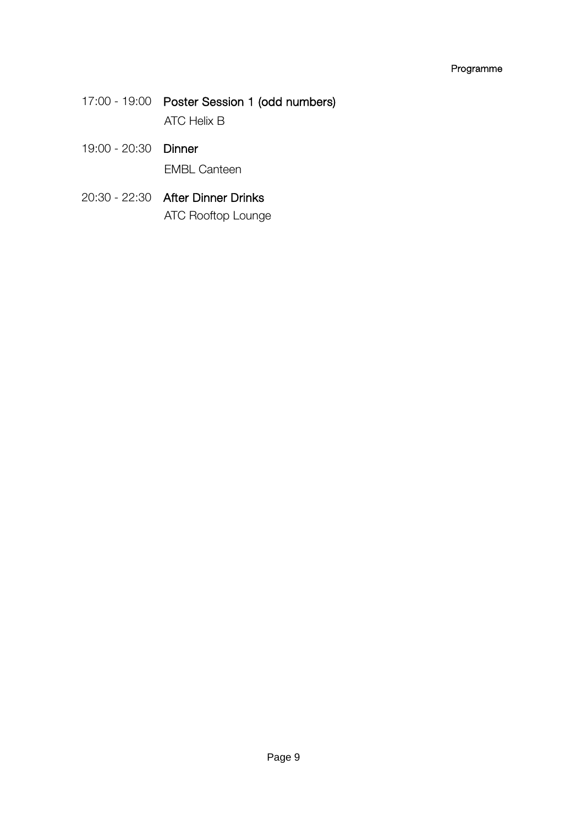## Programme

- 17:00 19:00 Poster Session 1 (odd numbers) ATC Helix B
- 19:00 20:30 Dinner EMBL Canteen
- 20:30 22:30 After Dinner Drinks ATC Rooftop Lounge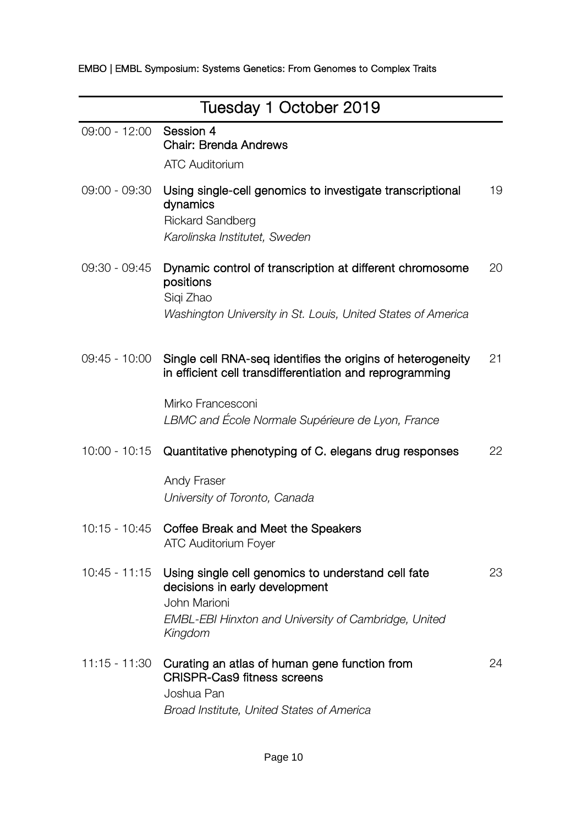| Tuesday 1 October 2019 |                                                                                                                                                                         |    |
|------------------------|-------------------------------------------------------------------------------------------------------------------------------------------------------------------------|----|
| $09:00 - 12:00$        | Session 4<br>Chair: Brenda Andrews<br><b>ATC Auditorium</b>                                                                                                             |    |
| 09:00 - 09:30          | Using single-cell genomics to investigate transcriptional<br>dynamics<br><b>Rickard Sandberg</b><br>Karolinska Institutet, Sweden                                       | 19 |
| 09:30 - 09:45          | Dynamic control of transcription at different chromosome<br>positions<br>Siqi Zhao<br>Washington University in St. Louis, United States of America                      | 20 |
| 09:45 - 10:00          | Single cell RNA-seq identifies the origins of heterogeneity<br>in efficient cell transdifferentiation and reprogramming                                                 | 21 |
|                        | Mirko Francesconi<br>LBMC and École Normale Supérieure de Lyon, France                                                                                                  |    |
| $10:00 - 10:15$        | Quantitative phenotyping of C. elegans drug responses                                                                                                                   | 22 |
|                        | Andy Fraser<br>University of Toronto, Canada                                                                                                                            |    |
| 10:15 - 10:45          | Coffee Break and Meet the Speakers<br><b>ATC Auditorium Fover</b>                                                                                                       |    |
| $10:45 - 11:15$        | Using single cell genomics to understand cell fate<br>decisions in early development<br>John Marioni<br>EMBL-EBI Hinxton and University of Cambridge, United<br>Kingdom | 23 |
| 11:15 - 11:30          | Curating an atlas of human gene function from<br>CRISPR-Cas9 fitness screens<br>Joshua Pan<br>Broad Institute, United States of America                                 | 24 |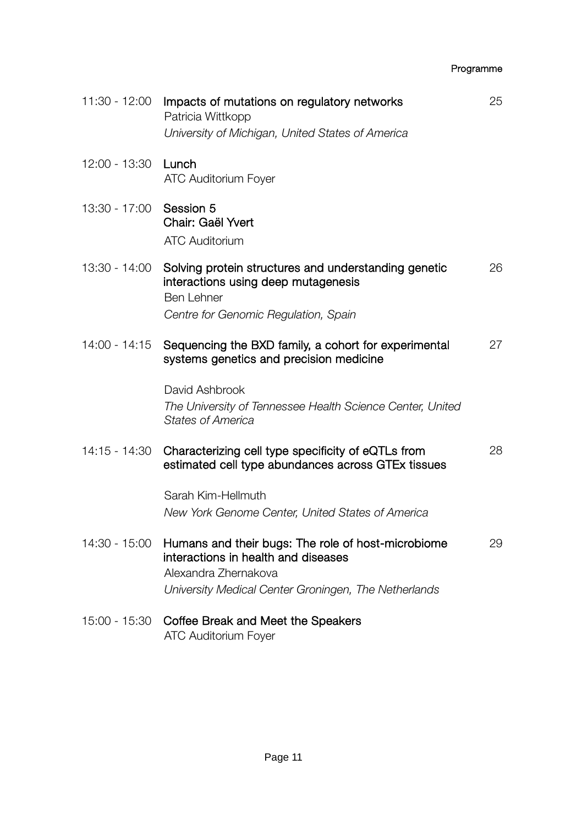## Programme

| $11:30 - 12:00$ | Impacts of mutations on regulatory networks<br>Patricia Wittkopp<br>University of Michigan, United States of America                                                      | 25 |
|-----------------|---------------------------------------------------------------------------------------------------------------------------------------------------------------------------|----|
| 12:00 - 13:30   | Lunch<br>ATC Auditorium Foyer                                                                                                                                             |    |
| 13:30 - 17:00   | Session 5<br>Chair: Gaël Yvert<br><b>ATC Auditorium</b>                                                                                                                   |    |
| 13:30 - 14:00   | Solving protein structures and understanding genetic<br>interactions using deep mutagenesis<br>Ben Lehner<br>Centre for Genomic Regulation, Spain                         | 26 |
| $14:00 - 14:15$ | Sequencing the BXD family, a cohort for experimental<br>systems genetics and precision medicine                                                                           | 27 |
|                 | David Ashbrook<br>The University of Tennessee Health Science Center, United<br><b>States of America</b>                                                                   |    |
| 14:15 - 14:30   | Characterizing cell type specificity of eQTLs from<br>estimated cell type abundances across GTEx tissues                                                                  | 28 |
|                 | Sarah Kim-Hellmuth<br>New York Genome Center, United States of America                                                                                                    |    |
| 14:30 - 15:00   | Humans and their bugs: The role of host-microbiome<br>interactions in health and diseases<br>Alexandra Zhernakova<br>University Medical Center Groningen, The Netherlands | 29 |
|                 | 15:00 - 15:30 Coffee Break and Meet the Speakers<br><b>ATC Auditorium Fover</b>                                                                                           |    |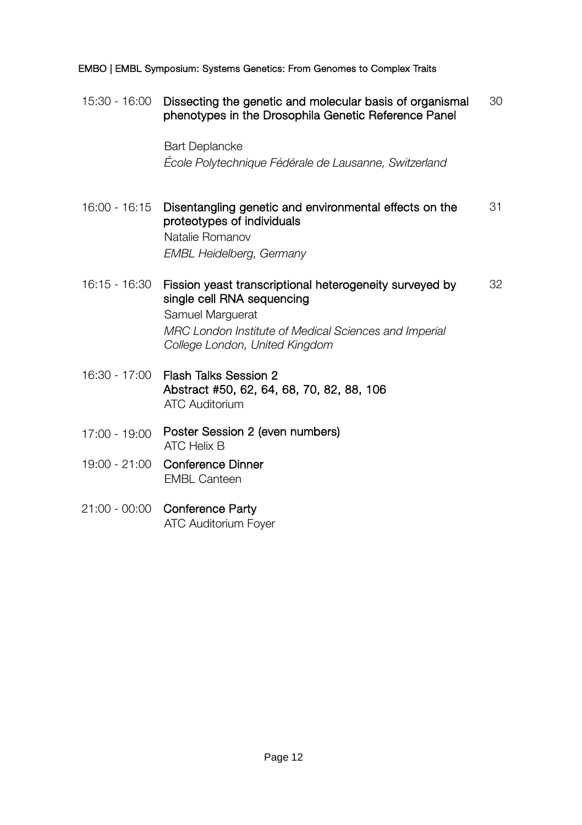15:30 - 16:00 Dissecting the genetic and molecular basis of organismal phenotypes in the Drosophila Genetic Reference Panel 30

> Bart Deplancke *École Polytechnique Fédérale de Lausanne, Switzerland*

16:00 - 16:15 Disentangling genetic and environmental effects on the proteotypes of individuals 31 Natalie Romanov

*EMBL Heidelberg, Germany*

16:15 - 16:30 Fission yeast transcriptional heterogeneity surveyed by single cell RNA sequencing 32

> Samuel Marguerat *MRC London Institute of Medical Sciences and Imperial College London, United Kingdom*

- 16:30 17:00 Flash Talks Session 2 Abstract #50, 62, 64, 68, 70, 82, 88, 106 ATC Auditorium
- 17:00 19:00 Poster Session 2 (even numbers) ATC Helix B
- 19:00 21:00 Conference Dinner EMBL Canteen
- 21:00 00:00 Conference Party ATC Auditorium Foyer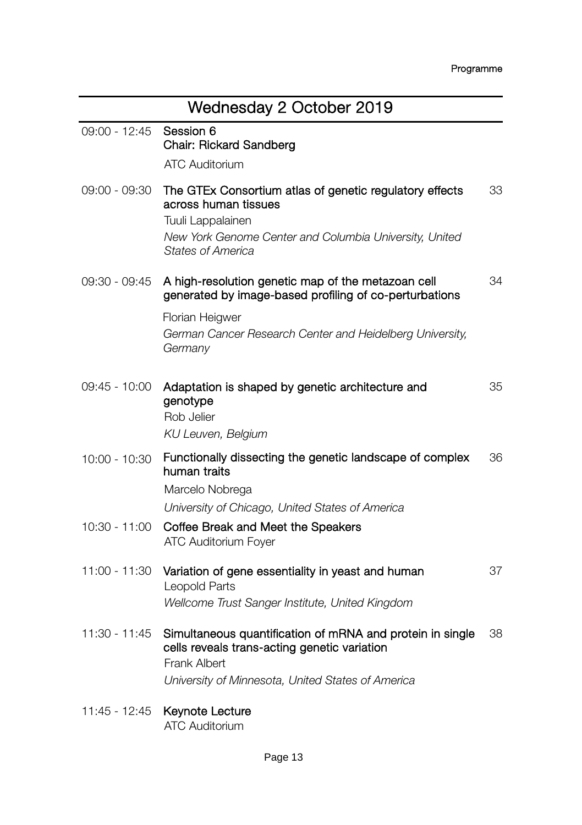| Wednesday 2 October 2019 |                                                                                                                                                                                            |    |
|--------------------------|--------------------------------------------------------------------------------------------------------------------------------------------------------------------------------------------|----|
| $09:00 - 12:45$          | Session 6<br>Chair: Rickard Sandberg                                                                                                                                                       |    |
|                          | <b>ATC Auditorium</b>                                                                                                                                                                      |    |
| 09:00 - 09:30            | The GTEx Consortium atlas of genetic regulatory effects<br>across human tissues<br>Tuuli Lappalainen<br>New York Genome Center and Columbia University, United<br><b>States of America</b> | 33 |
| 09:30 - 09:45            | A high-resolution genetic map of the metazoan cell<br>generated by image-based profiling of co-perturbations                                                                               | 34 |
|                          | Florian Heigwer                                                                                                                                                                            |    |
|                          | German Cancer Research Center and Heidelberg University,<br>Germany                                                                                                                        |    |
| $09:45 - 10:00$          | Adaptation is shaped by genetic architecture and<br>genotype<br>Rob Jelier<br>KU Leuven, Belgium                                                                                           | 35 |
| 10:00 - 10:30            | Functionally dissecting the genetic landscape of complex<br>human traits<br>Marcelo Nobrega                                                                                                | 36 |
|                          | University of Chicago, United States of America                                                                                                                                            |    |
| 10:30 - 11:00            | Coffee Break and Meet the Speakers<br>ATC Auditorium Foyer                                                                                                                                 |    |
| 11:00 - 11:30            | Variation of gene essentiality in yeast and human<br>Leopold Parts                                                                                                                         | 37 |
|                          | Wellcome Trust Sanger Institute, United Kingdom                                                                                                                                            |    |
| 11:30 - 11:45            | Simultaneous quantification of mRNA and protein in single<br>cells reveals trans-acting genetic variation<br>Frank Albert                                                                  | 38 |
|                          | University of Minnesota, United States of America                                                                                                                                          |    |
| 11:45 - 12:45            | Keynote Lecture                                                                                                                                                                            |    |

ATC Auditorium